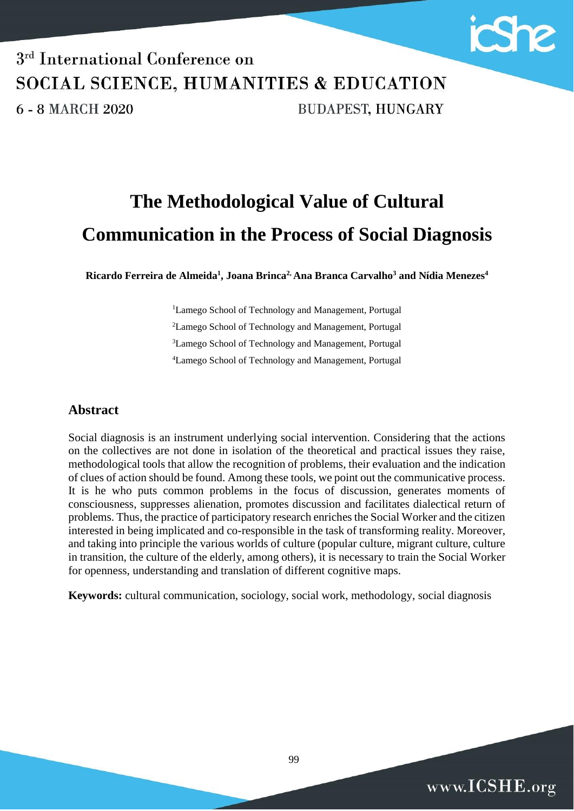

# 3<sup>rd</sup> International Conference on SOCIAL SCIENCE, HUMANITIES & EDUCATION **BUDAPEST, HUNGARY** 6 - 8 MARCH 2020

# **The Methodological Value of Cultural Communication in the Process of Social Diagnosis**

**Ricardo Ferreira de Almeida<sup>1</sup> , Joana Brinca2, Ana Branca Carvalho<sup>3</sup> and Nídia Menezes<sup>4</sup>**

<sup>1</sup>Lamego School of Technology and Management, Portugal Lamego School of Technology and Management, Portugal Lamego School of Technology and Management, Portugal Lamego School of Technology and Management, Portugal

## **Abstract**

Social diagnosis is an instrument underlying social intervention. Considering that the actions on the collectives are not done in isolation of the theoretical and practical issues they raise, methodological tools that allow the recognition of problems, their evaluation and the indication of clues of action should be found. Among these tools, we point out the communicative process. It is he who puts common problems in the focus of discussion, generates moments of consciousness, suppresses alienation, promotes discussion and facilitates dialectical return of problems. Thus, the practice of participatory research enriches the Social Worker and the citizen interested in being implicated and co-responsible in the task of transforming reality. Moreover, and taking into principle the various worlds of culture (popular culture, migrant culture, culture in transition, the culture of the elderly, among others), it is necessary to train the Social Worker for openness, understanding and translation of different cognitive maps.

**Keywords:** cultural communication, sociology, social work, methodology, social diagnosis

99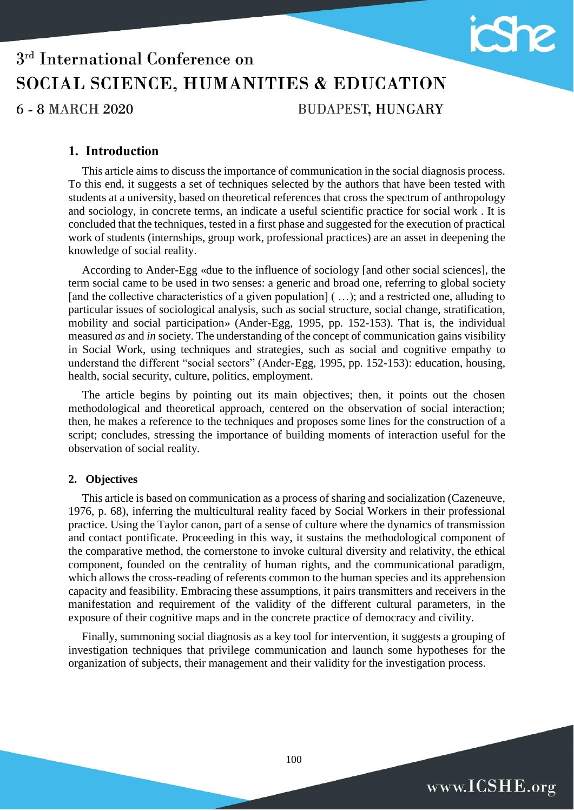

## **1. Introduction**

This article aims to discuss the importance of communication in the social diagnosis process. To this end, it suggests a set of techniques selected by the authors that have been tested with students at a university, based on theoretical references that cross the spectrum of anthropology and sociology, in concrete terms, an indicate a useful scientific practice for social work . It is concluded that the techniques, tested in a first phase and suggested for the execution of practical work of students (internships, group work, professional practices) are an asset in deepening the knowledge of social reality.

According to Ander-Egg «due to the influence of sociology [and other social sciences], the term social came to be used in two senses: a generic and broad one, referring to global society [and the collective characteristics of a given population] (...); and a restricted one, alluding to particular issues of sociological analysis, such as social structure, social change, stratification, mobility and social participation» (Ander-Egg, 1995, pp. 152-153). That is, the individual measured *as* and *in* society. The understanding of the concept of communication gains visibility in Social Work, using techniques and strategies, such as social and cognitive empathy to understand the different "social sectors" (Ander-Egg, 1995, pp. 152-153): education, housing, health, social security, culture, politics, employment.

The article begins by pointing out its main objectives; then, it points out the chosen methodological and theoretical approach, centered on the observation of social interaction; then, he makes a reference to the techniques and proposes some lines for the construction of a script; concludes, stressing the importance of building moments of interaction useful for the observation of social reality.

### **2. Objectives**

This article is based on communication as a process of sharing and socialization (Cazeneuve, 1976, p. 68), inferring the multicultural reality faced by Social Workers in their professional practice. Using the Taylor canon, part of a sense of culture where the dynamics of transmission and contact pontificate. Proceeding in this way, it sustains the methodological component of the comparative method, the cornerstone to invoke cultural diversity and relativity, the ethical component, founded on the centrality of human rights, and the communicational paradigm, which allows the cross-reading of referents common to the human species and its apprehension capacity and feasibility. Embracing these assumptions, it pairs transmitters and receivers in the manifestation and requirement of the validity of the different cultural parameters, in the exposure of their cognitive maps and in the concrete practice of democracy and civility.

Finally, summoning social diagnosis as a key tool for intervention, it suggests a grouping of investigation techniques that privilege communication and launch some hypotheses for the organization of subjects, their management and their validity for the investigation process.

100

www.ICSHE.org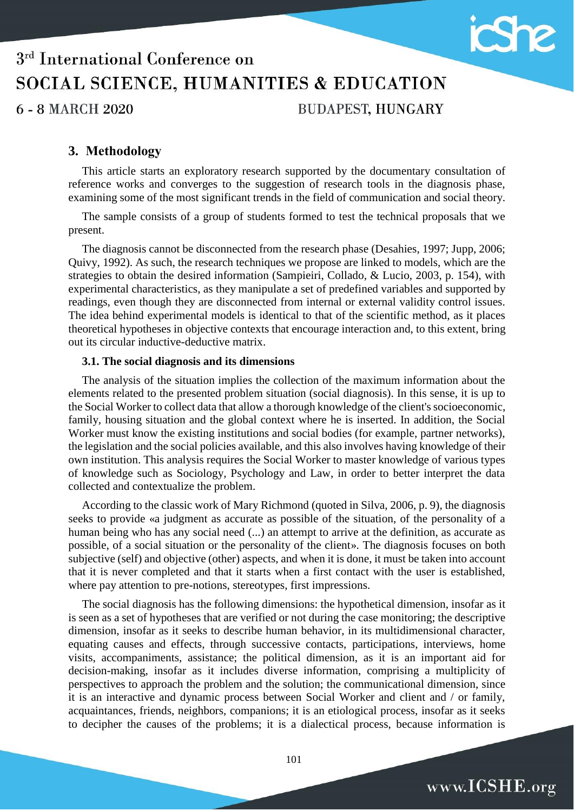

## **3. Methodology**

This article starts an exploratory research supported by the documentary consultation of reference works and converges to the suggestion of research tools in the diagnosis phase, examining some of the most significant trends in the field of communication and social theory.

The sample consists of a group of students formed to test the technical proposals that we present.

The diagnosis cannot be disconnected from the research phase (Desahies, 1997; Jupp, 2006; Quivy, 1992). As such, the research techniques we propose are linked to models, which are the strategies to obtain the desired information (Sampieiri, Collado, & Lucio, 2003, p. 154), with experimental characteristics, as they manipulate a set of predefined variables and supported by readings, even though they are disconnected from internal or external validity control issues. The idea behind experimental models is identical to that of the scientific method, as it places theoretical hypotheses in objective contexts that encourage interaction and, to this extent, bring out its circular inductive-deductive matrix.

#### **3.1. The social diagnosis and its dimensions**

The analysis of the situation implies the collection of the maximum information about the elements related to the presented problem situation (social diagnosis). In this sense, it is up to the Social Worker to collect data that allow a thorough knowledge of the client's socioeconomic, family, housing situation and the global context where he is inserted. In addition, the Social Worker must know the existing institutions and social bodies (for example, partner networks), the legislation and the social policies available, and this also involves having knowledge of their own institution. This analysis requires the Social Worker to master knowledge of various types of knowledge such as Sociology, Psychology and Law, in order to better interpret the data collected and contextualize the problem.

According to the classic work of Mary Richmond (quoted in Silva, 2006, p. 9), the diagnosis seeks to provide «a judgment as accurate as possible of the situation, of the personality of a human being who has any social need (...) an attempt to arrive at the definition, as accurate as possible, of a social situation or the personality of the client». The diagnosis focuses on both subjective (self) and objective (other) aspects, and when it is done, it must be taken into account that it is never completed and that it starts when a first contact with the user is established, where pay attention to pre-notions, stereotypes, first impressions.

The social diagnosis has the following dimensions: the hypothetical dimension, insofar as it is seen as a set of hypotheses that are verified or not during the case monitoring; the descriptive dimension, insofar as it seeks to describe human behavior, in its multidimensional character, equating causes and effects, through successive contacts, participations, interviews, home visits, accompaniments, assistance; the political dimension, as it is an important aid for decision-making, insofar as it includes diverse information, comprising a multiplicity of perspectives to approach the problem and the solution; the communicational dimension, since it is an interactive and dynamic process between Social Worker and client and / or family, acquaintances, friends, neighbors, companions; it is an etiological process, insofar as it seeks to decipher the causes of the problems; it is a dialectical process, because information is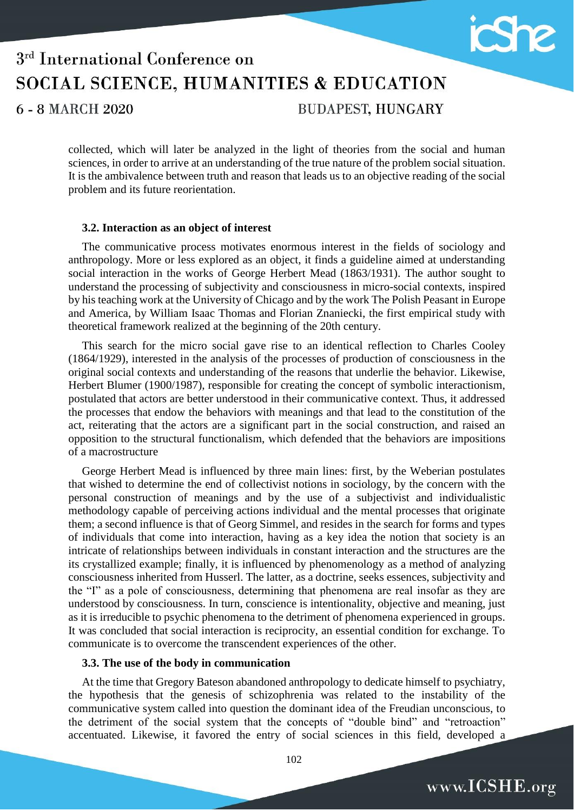

# 3<sup>rd</sup> International Conference on SOCIAL SCIENCE, HUMANITIES & EDUCATION **BUDAPEST, HUNGARY** 6 - 8 MARCH 2020

collected, which will later be analyzed in the light of theories from the social and human sciences, in order to arrive at an understanding of the true nature of the problem social situation. It is the ambivalence between truth and reason that leads us to an objective reading of the social problem and its future reorientation.

#### **3.2. Interaction as an object of interest**

The communicative process motivates enormous interest in the fields of sociology and anthropology. More or less explored as an object, it finds a guideline aimed at understanding social interaction in the works of George Herbert Mead (1863/1931). The author sought to understand the processing of subjectivity and consciousness in micro-social contexts, inspired by his teaching work at the University of Chicago and by the work The Polish Peasant in Europe and America, by William Isaac Thomas and Florian Znaniecki, the first empirical study with theoretical framework realized at the beginning of the 20th century.

This search for the micro social gave rise to an identical reflection to Charles Cooley (1864/1929), interested in the analysis of the processes of production of consciousness in the original social contexts and understanding of the reasons that underlie the behavior. Likewise, Herbert Blumer (1900/1987), responsible for creating the concept of symbolic interactionism, postulated that actors are better understood in their communicative context. Thus, it addressed the processes that endow the behaviors with meanings and that lead to the constitution of the act, reiterating that the actors are a significant part in the social construction, and raised an opposition to the structural functionalism, which defended that the behaviors are impositions of a macrostructure

George Herbert Mead is influenced by three main lines: first, by the Weberian postulates that wished to determine the end of collectivist notions in sociology, by the concern with the personal construction of meanings and by the use of a subjectivist and individualistic methodology capable of perceiving actions individual and the mental processes that originate them; a second influence is that of Georg Simmel, and resides in the search for forms and types of individuals that come into interaction, having as a key idea the notion that society is an intricate of relationships between individuals in constant interaction and the structures are the its crystallized example; finally, it is influenced by phenomenology as a method of analyzing consciousness inherited from Husserl. The latter, as a doctrine, seeks essences, subjectivity and the "I" as a pole of consciousness, determining that phenomena are real insofar as they are understood by consciousness. In turn, conscience is intentionality, objective and meaning, just as it is irreducible to psychic phenomena to the detriment of phenomena experienced in groups. It was concluded that social interaction is reciprocity, an essential condition for exchange. To communicate is to overcome the transcendent experiences of the other.

#### **3.3. The use of the body in communication**

At the time that Gregory Bateson abandoned anthropology to dedicate himself to psychiatry, the hypothesis that the genesis of schizophrenia was related to the instability of the communicative system called into question the dominant idea of the Freudian unconscious, to the detriment of the social system that the concepts of "double bind" and "retroaction" accentuated. Likewise, it favored the entry of social sciences in this field, developed a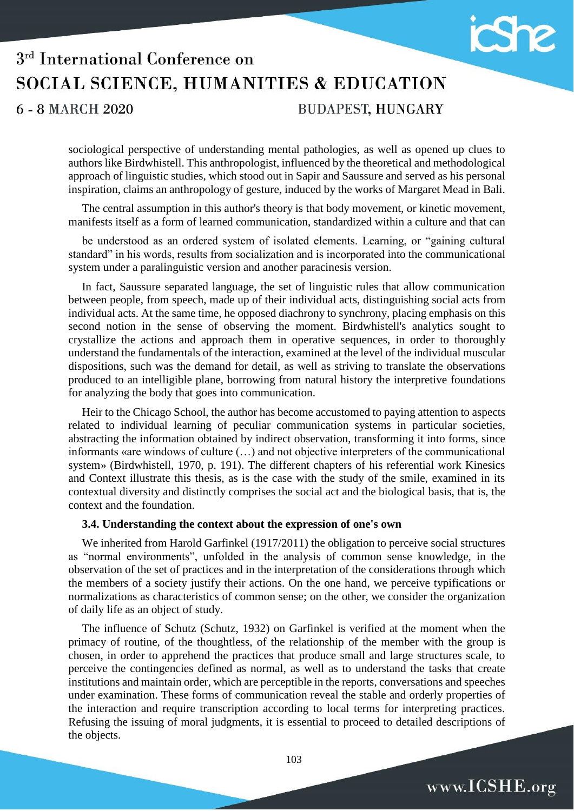

# 3<sup>rd</sup> International Conference on SOCIAL SCIENCE, HUMANITIES & EDUCATION **BUDAPEST, HUNGARY** 6 - 8 MARCH 2020

sociological perspective of understanding mental pathologies, as well as opened up clues to authors like Birdwhistell. This anthropologist, influenced by the theoretical and methodological approach of linguistic studies, which stood out in Sapir and Saussure and served as his personal inspiration, claims an anthropology of gesture, induced by the works of Margaret Mead in Bali.

The central assumption in this author's theory is that body movement, or kinetic movement, manifests itself as a form of learned communication, standardized within a culture and that can

be understood as an ordered system of isolated elements. Learning, or "gaining cultural standard" in his words, results from socialization and is incorporated into the communicational system under a paralinguistic version and another paracinesis version.

In fact, Saussure separated language, the set of linguistic rules that allow communication between people, from speech, made up of their individual acts, distinguishing social acts from individual acts. At the same time, he opposed diachrony to synchrony, placing emphasis on this second notion in the sense of observing the moment. Birdwhistell's analytics sought to crystallize the actions and approach them in operative sequences, in order to thoroughly understand the fundamentals of the interaction, examined at the level of the individual muscular dispositions, such was the demand for detail, as well as striving to translate the observations produced to an intelligible plane, borrowing from natural history the interpretive foundations for analyzing the body that goes into communication.

Heir to the Chicago School, the author has become accustomed to paying attention to aspects related to individual learning of peculiar communication systems in particular societies, abstracting the information obtained by indirect observation, transforming it into forms, since informants «are windows of culture (…) and not objective interpreters of the communicational system» (Birdwhistell, 1970, p. 191). The different chapters of his referential work Kinesics and Context illustrate this thesis, as is the case with the study of the smile, examined in its contextual diversity and distinctly comprises the social act and the biological basis, that is, the context and the foundation.

#### **3.4. Understanding the context about the expression of one's own**

We inherited from Harold Garfinkel (1917/2011) the obligation to perceive social structures as "normal environments", unfolded in the analysis of common sense knowledge, in the observation of the set of practices and in the interpretation of the considerations through which the members of a society justify their actions. On the one hand, we perceive typifications or normalizations as characteristics of common sense; on the other, we consider the organization of daily life as an object of study.

The influence of Schutz (Schutz, 1932) on Garfinkel is verified at the moment when the primacy of routine, of the thoughtless, of the relationship of the member with the group is chosen, in order to apprehend the practices that produce small and large structures scale, to perceive the contingencies defined as normal, as well as to understand the tasks that create institutions and maintain order, which are perceptible in the reports, conversations and speeches under examination. These forms of communication reveal the stable and orderly properties of the interaction and require transcription according to local terms for interpreting practices. Refusing the issuing of moral judgments, it is essential to proceed to detailed descriptions of the objects.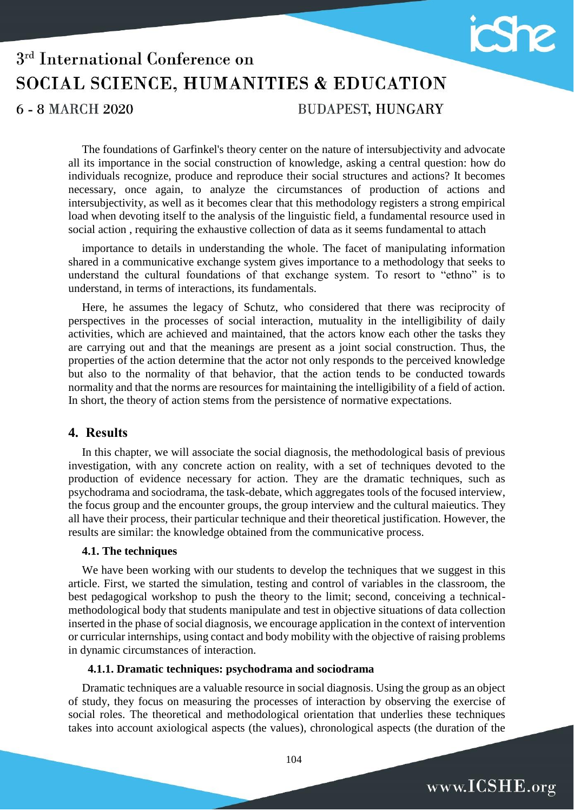

# 3<sup>rd</sup> International Conference on SOCIAL SCIENCE, HUMANITIES & EDUCATION 6 - 8 MARCH 2020 **BUDAPEST, HUNGARY**

The foundations of Garfinkel's theory center on the nature of intersubjectivity and advocate all its importance in the social construction of knowledge, asking a central question: how do individuals recognize, produce and reproduce their social structures and actions? It becomes necessary, once again, to analyze the circumstances of production of actions and intersubjectivity, as well as it becomes clear that this methodology registers a strong empirical load when devoting itself to the analysis of the linguistic field, a fundamental resource used in social action , requiring the exhaustive collection of data as it seems fundamental to attach

importance to details in understanding the whole. The facet of manipulating information shared in a communicative exchange system gives importance to a methodology that seeks to understand the cultural foundations of that exchange system. To resort to "ethno" is to understand, in terms of interactions, its fundamentals.

Here, he assumes the legacy of Schutz, who considered that there was reciprocity of perspectives in the processes of social interaction, mutuality in the intelligibility of daily activities, which are achieved and maintained, that the actors know each other the tasks they are carrying out and that the meanings are present as a joint social construction. Thus, the properties of the action determine that the actor not only responds to the perceived knowledge but also to the normality of that behavior, that the action tends to be conducted towards normality and that the norms are resources for maintaining the intelligibility of a field of action. In short, the theory of action stems from the persistence of normative expectations.

## **4. Results**

In this chapter, we will associate the social diagnosis, the methodological basis of previous investigation, with any concrete action on reality, with a set of techniques devoted to the production of evidence necessary for action. They are the dramatic techniques, such as psychodrama and sociodrama, the task-debate, which aggregates tools of the focused interview, the focus group and the encounter groups, the group interview and the cultural maieutics. They all have their process, their particular technique and their theoretical justification. However, the results are similar: the knowledge obtained from the communicative process.

#### **4.1. The techniques**

We have been working with our students to develop the techniques that we suggest in this article. First, we started the simulation, testing and control of variables in the classroom, the best pedagogical workshop to push the theory to the limit; second, conceiving a technicalmethodological body that students manipulate and test in objective situations of data collection inserted in the phase of social diagnosis, we encourage application in the context of intervention or curricular internships, using contact and body mobility with the objective of raising problems in dynamic circumstances of interaction.

#### **4.1.1. Dramatic techniques: psychodrama and sociodrama**

Dramatic techniques are a valuable resource in social diagnosis. Using the group as an object of study, they focus on measuring the processes of interaction by observing the exercise of social roles. The theoretical and methodological orientation that underlies these techniques takes into account axiological aspects (the values), chronological aspects (the duration of the

www.ICSHE.org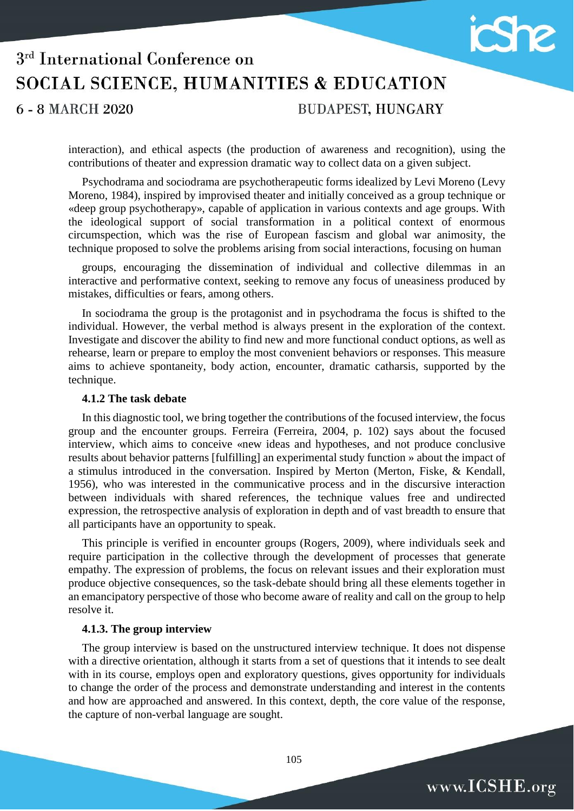

# 3<sup>rd</sup> International Conference on SOCIAL SCIENCE, HUMANITIES & EDUCATION **BUDAPEST, HUNGARY** 6 - 8 MARCH 2020

interaction), and ethical aspects (the production of awareness and recognition), using the contributions of theater and expression dramatic way to collect data on a given subject.

Psychodrama and sociodrama are psychotherapeutic forms idealized by Levi Moreno (Levy Moreno, 1984), inspired by improvised theater and initially conceived as a group technique or «deep group psychotherapy», capable of application in various contexts and age groups. With the ideological support of social transformation in a political context of enormous circumspection, which was the rise of European fascism and global war animosity, the technique proposed to solve the problems arising from social interactions, focusing on human

groups, encouraging the dissemination of individual and collective dilemmas in an interactive and performative context, seeking to remove any focus of uneasiness produced by mistakes, difficulties or fears, among others.

In sociodrama the group is the protagonist and in psychodrama the focus is shifted to the individual. However, the verbal method is always present in the exploration of the context. Investigate and discover the ability to find new and more functional conduct options, as well as rehearse, learn or prepare to employ the most convenient behaviors or responses. This measure aims to achieve spontaneity, body action, encounter, dramatic catharsis, supported by the technique.

#### **4.1.2 The task debate**

In this diagnostic tool, we bring together the contributions of the focused interview, the focus group and the encounter groups. Ferreira (Ferreira, 2004, p. 102) says about the focused interview, which aims to conceive «new ideas and hypotheses, and not produce conclusive results about behavior patterns [fulfilling] an experimental study function » about the impact of a stimulus introduced in the conversation. Inspired by Merton (Merton, Fiske, & Kendall, 1956), who was interested in the communicative process and in the discursive interaction between individuals with shared references, the technique values free and undirected expression, the retrospective analysis of exploration in depth and of vast breadth to ensure that all participants have an opportunity to speak.

This principle is verified in encounter groups (Rogers, 2009), where individuals seek and require participation in the collective through the development of processes that generate empathy. The expression of problems, the focus on relevant issues and their exploration must produce objective consequences, so the task-debate should bring all these elements together in an emancipatory perspective of those who become aware of reality and call on the group to help resolve it.

#### **4.1.3. The group interview**

The group interview is based on the unstructured interview technique. It does not dispense with a directive orientation, although it starts from a set of questions that it intends to see dealt with in its course, employs open and exploratory questions, gives opportunity for individuals to change the order of the process and demonstrate understanding and interest in the contents and how are approached and answered. In this context, depth, the core value of the response, the capture of non-verbal language are sought.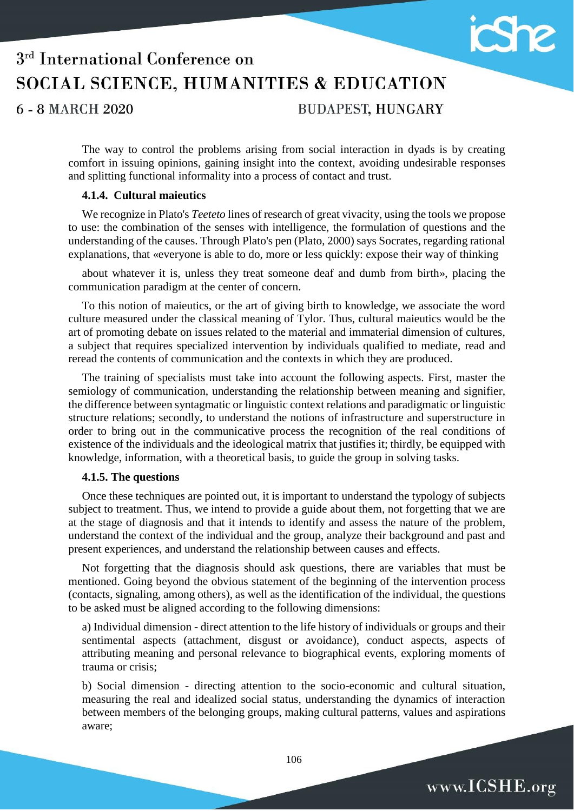

# 3<sup>rd</sup> International Conference on SOCIAL SCIENCE, HUMANITIES & EDUCATION

6 - 8 MARCH 2020

**BUDAPEST, HUNGARY** 

The way to control the problems arising from social interaction in dyads is by creating comfort in issuing opinions, gaining insight into the context, avoiding undesirable responses and splitting functional informality into a process of contact and trust.

## **4.1.4. Cultural maieutics**

We recognize in Plato's *Teeteto* lines of research of great vivacity, using the tools we propose to use: the combination of the senses with intelligence, the formulation of questions and the understanding of the causes. Through Plato's pen (Plato, 2000) says Socrates, regarding rational explanations, that «everyone is able to do, more or less quickly: expose their way of thinking

about whatever it is, unless they treat someone deaf and dumb from birth», placing the communication paradigm at the center of concern.

To this notion of maieutics, or the art of giving birth to knowledge, we associate the word culture measured under the classical meaning of Tylor. Thus, cultural maieutics would be the art of promoting debate on issues related to the material and immaterial dimension of cultures, a subject that requires specialized intervention by individuals qualified to mediate, read and reread the contents of communication and the contexts in which they are produced.

The training of specialists must take into account the following aspects. First, master the semiology of communication, understanding the relationship between meaning and signifier, the difference between syntagmatic or linguistic context relations and paradigmatic or linguistic structure relations; secondly, to understand the notions of infrastructure and superstructure in order to bring out in the communicative process the recognition of the real conditions of existence of the individuals and the ideological matrix that justifies it; thirdly, be equipped with knowledge, information, with a theoretical basis, to guide the group in solving tasks.

## **4.1.5. The questions**

Once these techniques are pointed out, it is important to understand the typology of subjects subject to treatment. Thus, we intend to provide a guide about them, not forgetting that we are at the stage of diagnosis and that it intends to identify and assess the nature of the problem, understand the context of the individual and the group, analyze their background and past and present experiences, and understand the relationship between causes and effects.

Not forgetting that the diagnosis should ask questions, there are variables that must be mentioned. Going beyond the obvious statement of the beginning of the intervention process (contacts, signaling, among others), as well as the identification of the individual, the questions to be asked must be aligned according to the following dimensions:

a) Individual dimension - direct attention to the life history of individuals or groups and their sentimental aspects (attachment, disgust or avoidance), conduct aspects, aspects of attributing meaning and personal relevance to biographical events, exploring moments of trauma or crisis;

b) Social dimension - directing attention to the socio-economic and cultural situation, measuring the real and idealized social status, understanding the dynamics of interaction between members of the belonging groups, making cultural patterns, values and aspirations aware;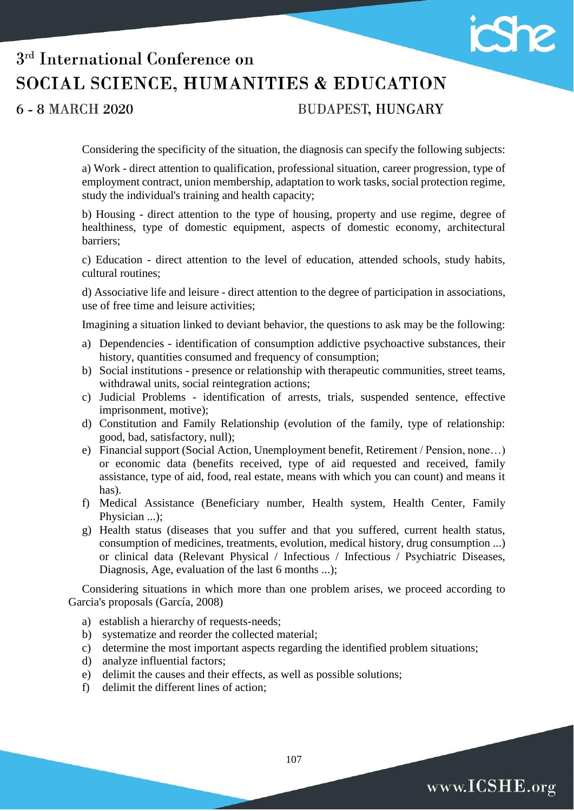

# 3<sup>rd</sup> International Conference on SOCIAL SCIENCE, HUMANITIES & EDUCATION

6 - 8 MARCH 2020

# **BUDAPEST, HUNGARY**

Considering the specificity of the situation, the diagnosis can specify the following subjects:

a) Work - direct attention to qualification, professional situation, career progression, type of employment contract, union membership, adaptation to work tasks, social protection regime, study the individual's training and health capacity;

b) Housing - direct attention to the type of housing, property and use regime, degree of healthiness, type of domestic equipment, aspects of domestic economy, architectural barriers;

c) Education - direct attention to the level of education, attended schools, study habits, cultural routines;

d) Associative life and leisure - direct attention to the degree of participation in associations, use of free time and leisure activities;

Imagining a situation linked to deviant behavior, the questions to ask may be the following:

- a) Dependencies identification of consumption addictive psychoactive substances, their history, quantities consumed and frequency of consumption;
- b) Social institutions presence or relationship with therapeutic communities, street teams, withdrawal units, social reintegration actions;
- c) Judicial Problems identification of arrests, trials, suspended sentence, effective imprisonment, motive);
- d) Constitution and Family Relationship (evolution of the family, type of relationship: good, bad, satisfactory, null);
- e) Financial support (Social Action, Unemployment benefit, Retirement / Pension, none…) or economic data (benefits received, type of aid requested and received, family assistance, type of aid, food, real estate, means with which you can count) and means it has).
- f) Medical Assistance (Beneficiary number, Health system, Health Center, Family Physician ...);
- g) Health status (diseases that you suffer and that you suffered, current health status, consumption of medicines, treatments, evolution, medical history, drug consumption ...) or clinical data (Relevant Physical / Infectious / Infectious / Psychiatric Diseases, Diagnosis, Age, evaluation of the last 6 months ...);

Considering situations in which more than one problem arises, we proceed according to Garcia's proposals (García, 2008)

- a) establish a hierarchy of requests-needs;
- b) systematize and reorder the collected material;
- c) determine the most important aspects regarding the identified problem situations;
- d) analyze influential factors;
- e) delimit the causes and their effects, as well as possible solutions;
- f) delimit the different lines of action;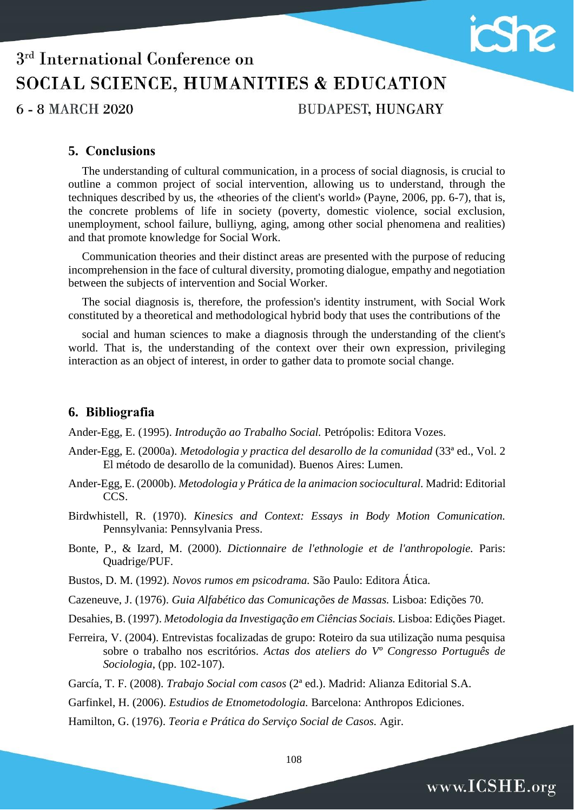

**BUDAPEST, HUNGARY** 

 $\mathcal{P}$ 

www.ICSHE.org

## **5. Conclusions**

The understanding of cultural communication, in a process of social diagnosis, is crucial to outline a common project of social intervention, allowing us to understand, through the techniques described by us, the «theories of the client's world» (Payne, 2006, pp. 6-7), that is, the concrete problems of life in society (poverty, domestic violence, social exclusion, unemployment, school failure, bulliyng, aging, among other social phenomena and realities) and that promote knowledge for Social Work.

Communication theories and their distinct areas are presented with the purpose of reducing incomprehension in the face of cultural diversity, promoting dialogue, empathy and negotiation between the subjects of intervention and Social Worker.

The social diagnosis is, therefore, the profession's identity instrument, with Social Work constituted by a theoretical and methodological hybrid body that uses the contributions of the

social and human sciences to make a diagnosis through the understanding of the client's world. That is, the understanding of the context over their own expression, privileging interaction as an object of interest, in order to gather data to promote social change.

## **6. Bibliografia**

Ander-Egg, E. (1995). *Introdução ao Trabalho Social.* Petrópolis: Editora Vozes.

- Ander-Egg, E. (2000a). *Metodologia y practica del desarollo de la comunidad* (33ª ed., Vol. 2 El método de desarollo de la comunidad). Buenos Aires: Lumen.
- Ander-Egg, E. (2000b). *Metodologia y Prática de la animacion sociocultural.* Madrid: Editorial CCS.
- Birdwhistell, R. (1970). *Kinesics and Context: Essays in Body Motion Comunication.* Pennsylvania: Pennsylvania Press.
- Bonte, P., & Izard, M. (2000). *Dictionnaire de l'ethnologie et de l'anthropologie.* Paris: Quadrige/PUF.
- Bustos, D. M. (1992). *Novos rumos em psicodrama.* São Paulo: Editora Ática.
- Cazeneuve, J. (1976). *Guia Alfabético das Comunicações de Massas.* Lisboa: Edições 70.
- Desahies, B. (1997). *Metodologia da Investigação em Ciências Sociais.* Lisboa: Edições Piaget.
- Ferreira, V. (2004). Entrevistas focalizadas de grupo: Roteiro da sua utilização numa pesquisa sobre o trabalho nos escritórios. *Actas dos ateliers do Vº Congresso Português de Sociologia*, (pp. 102-107).

García, T. F. (2008). *Trabajo Social com casos* (2ª ed.). Madrid: Alianza Editorial S.A.

Garfinkel, H. (2006). *Estudios de Etnometodologia.* Barcelona: Anthropos Ediciones.

Hamilton, G. (1976). *Teoria e Prática do Serviço Social de Casos.* Agir.